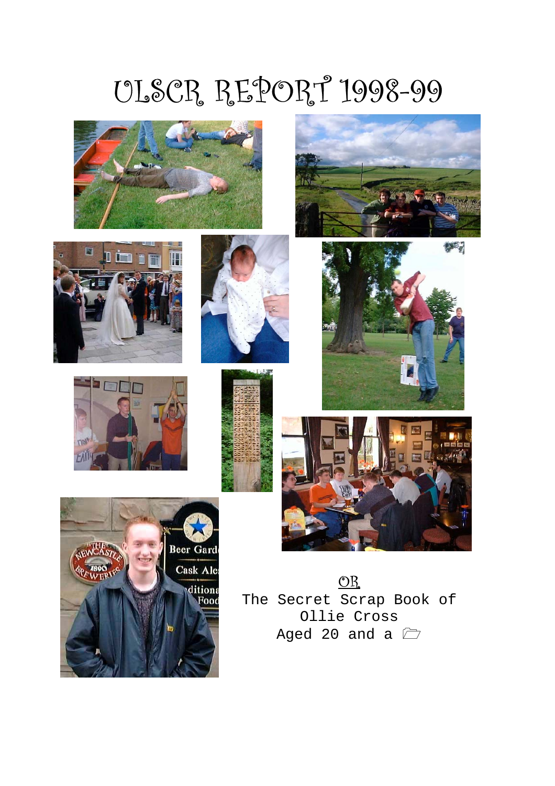# ULSCR REPORT 1998-99



















The Secret Scrap Book of Ollie Cross Aged 20 and a  $\Box$ 

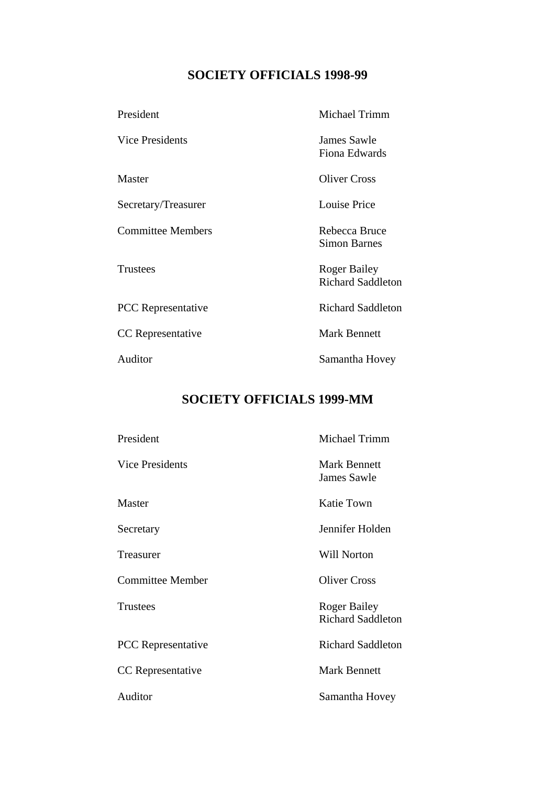# **SOCIETY OFFICIALS 1998-99**

| President                 | <b>Michael Trimm</b>                     |
|---------------------------|------------------------------------------|
| Vice Presidents           | James Sawle<br>Fiona Edwards             |
| Master                    | <b>Oliver Cross</b>                      |
| Secretary/Treasurer       | <b>Louise Price</b>                      |
| <b>Committee Members</b>  | Rebecca Bruce<br><b>Simon Barnes</b>     |
| <b>Trustees</b>           | Roger Bailey<br><b>Richard Saddleton</b> |
| <b>PCC</b> Representative | <b>Richard Saddleton</b>                 |
| CC Representative         | <b>Mark Bennett</b>                      |
| Auditor                   | Samantha Hovey                           |

# **SOCIETY OFFICIALS 1999-MM**

| President                 | Michael Trimm                                   |
|---------------------------|-------------------------------------------------|
| <b>Vice Presidents</b>    | <b>Mark Bennett</b><br><b>James Sawle</b>       |
| Master                    | Katie Town                                      |
| Secretary                 | Jennifer Holden                                 |
| Treasurer                 | <b>Will Norton</b>                              |
| <b>Committee Member</b>   | <b>Oliver Cross</b>                             |
| <b>Trustees</b>           | <b>Roger Bailey</b><br><b>Richard Saddleton</b> |
| <b>PCC</b> Representative | <b>Richard Saddleton</b>                        |
| <b>CC</b> Representative  | <b>Mark Bennett</b>                             |
| Auditor                   | Samantha Hovey                                  |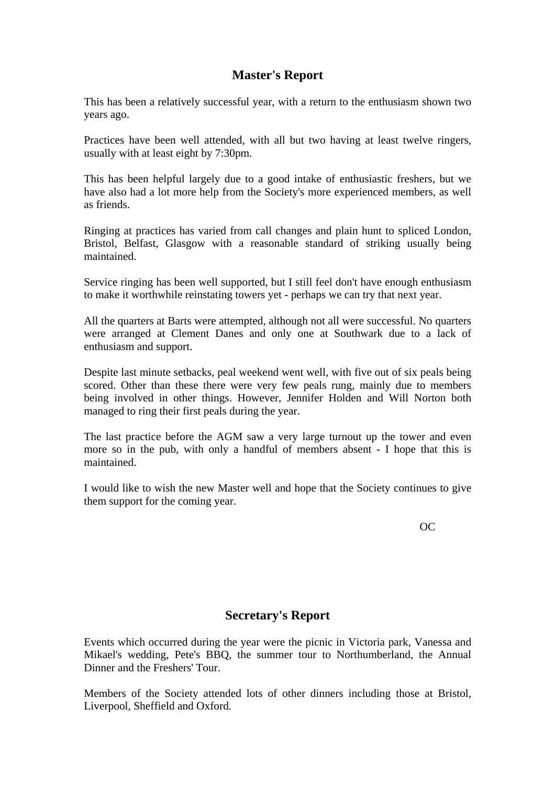# **Master's Report**

This has been a relatively successful year, with a return to the enthusiasm shown two years ago.

Practices have been well attended, with all but two having at least twelve ringers, usually with at least eight by 7:30pm.

This has been helpful largely due to a good intake of enthusiastic freshers, but we have also had a lot more help from the Society's more experienced members, as well as friends.

Ringing at practices has varied from call changes and plain hunt to spliced London, Bristol, Belfast, Glasgow with a reasonable standard of striking usually being maintained.

Service ringing has been well supported, but I still feel don't have enough enthusiasm to make it worthwhile reinstating towers yet - perhaps we can try that next year.

All the quarters at Barts were attempted, although not all were successful. No quarters were arranged at Clement Danes and only one at Southwark due to a lack of enthusiasm and support.

Despite last minute setbacks, peal weekend went well, with five out of six peals being scored. Other than these there were very few peals rung, mainly due to members being involved in other things. However, Jennifer Holden and Will Norton both managed to ring their first peals during the year.

The last practice before the AGM saw a very large turnout up the tower and even more so in the pub, with only a handful of members absent - I hope that this is maintained.

I would like to wish the new Master well and hope that the Society continues to give them support for the coming year.

OC

#### **Secretary's Report**

Events which occurred during the year were the picnic in Victoria park, Vanessa and Mikael's wedding, Pete's BBQ, the summer tour to Northumberland, the Annual Dinner and the Freshers' Tour.

Members of the Society attended lots of other dinners including those at Bristol, Liverpool, Sheffield and Oxford.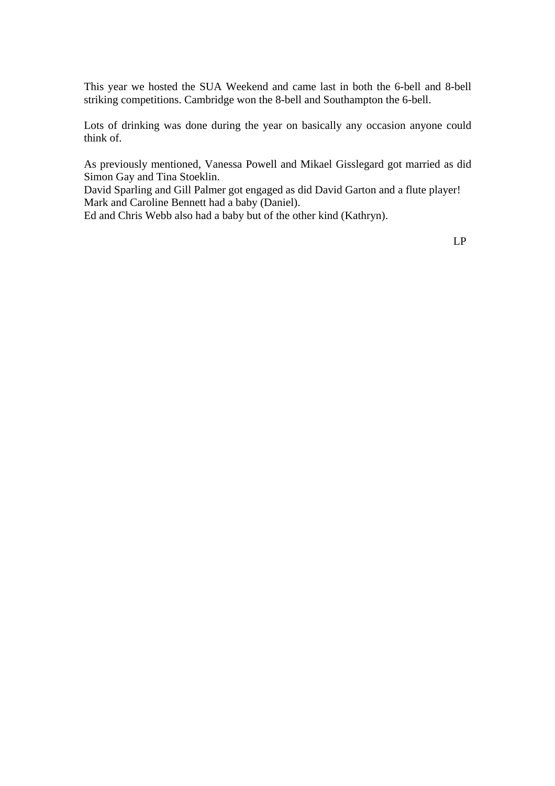This year we hosted the SUA Weekend and came last in both the 6-bell and 8-bell striking competitions. Cambridge won the 8-bell and Southampton the 6-bell.

Lots of drinking was done during the year on basically any occasion anyone could think of.

As previously mentioned, Vanessa Powell and Mikael Gisslegard got married as did Simon Gay and Tina Stoeklin.

David Sparling and Gill Palmer got engaged as did David Garton and a flute player! Mark and Caroline Bennett had a baby (Daniel).

Ed and Chris Webb also had a baby but of the other kind (Kathryn).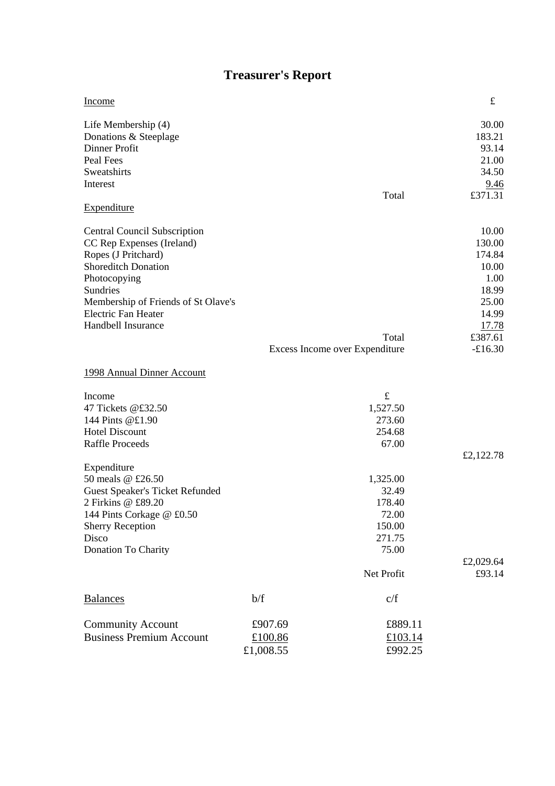# **Treasurer's Report**

| Income                                 |           |                                | $\pounds$    |
|----------------------------------------|-----------|--------------------------------|--------------|
| Life Membership (4)                    |           |                                | 30.00        |
| Donations & Steeplage                  |           |                                | 183.21       |
| Dinner Profit                          |           |                                | 93.14        |
| Peal Fees                              |           |                                | 21.00        |
| Sweatshirts                            |           |                                | 34.50        |
| Interest                               |           |                                | 9.46         |
|                                        |           | Total                          | £371.31      |
| Expenditure                            |           |                                |              |
| <b>Central Council Subscription</b>    |           |                                | 10.00        |
| CC Rep Expenses (Ireland)              |           |                                | 130.00       |
| Ropes (J Pritchard)                    |           |                                | 174.84       |
| <b>Shoreditch Donation</b>             |           |                                | 10.00        |
| Photocopying                           |           |                                | 1.00         |
| Sundries                               |           |                                | 18.99        |
| Membership of Friends of St Olave's    |           |                                | 25.00        |
| <b>Electric Fan Heater</b>             |           |                                | 14.99        |
| Handbell Insurance                     |           |                                | <u>17.78</u> |
|                                        |           | Total                          | £387.61      |
|                                        |           | Excess Income over Expenditure | $-£16.30$    |
| 1998 Annual Dinner Account             |           |                                |              |
| Income                                 |           | $\pounds$                      |              |
| 47 Tickets @£32.50                     |           | 1,527.50                       |              |
| 144 Pints @£1.90                       |           | 273.60                         |              |
| <b>Hotel Discount</b>                  |           | 254.68                         |              |
| <b>Raffle Proceeds</b>                 |           | 67.00                          |              |
| Expenditure                            |           |                                | £2,122.78    |
| 50 meals @ £26.50                      |           | 1,325.00                       |              |
| <b>Guest Speaker's Ticket Refunded</b> |           | 32.49                          |              |
| 2 Firkins @ £89.20                     |           | 178.40                         |              |
| 144 Pints Corkage @ £0.50              |           | 72.00                          |              |
| <b>Sherry Reception</b>                |           | 150.00                         |              |
| Disco                                  |           | 271.75                         |              |
| Donation To Charity                    |           | 75.00                          |              |
|                                        |           |                                | £2,029.64    |
|                                        |           | Net Profit                     | £93.14       |
| <b>Balances</b>                        | b/f       | c/f                            |              |
| <b>Community Account</b>               | £907.69   | £889.11                        |              |
| <b>Business Premium Account</b>        | £100.86   | £103.14                        |              |
|                                        | £1,008.55 | £992.25                        |              |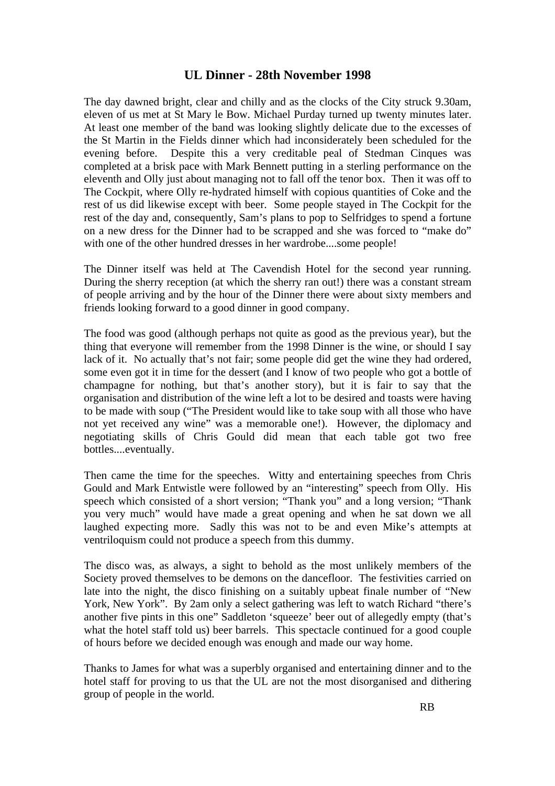## **UL Dinner - 28th November 1998**

The day dawned bright, clear and chilly and as the clocks of the City struck 9.30am, eleven of us met at St Mary le Bow. Michael Purday turned up twenty minutes later. At least one member of the band was looking slightly delicate due to the excesses of the St Martin in the Fields dinner which had inconsiderately been scheduled for the evening before. Despite this a very creditable peal of Stedman Cinques was completed at a brisk pace with Mark Bennett putting in a sterling performance on the eleventh and Olly just about managing not to fall off the tenor box. Then it was off to The Cockpit, where Olly re-hydrated himself with copious quantities of Coke and the rest of us did likewise except with beer. Some people stayed in The Cockpit for the rest of the day and, consequently, Sam's plans to pop to Selfridges to spend a fortune on a new dress for the Dinner had to be scrapped and she was forced to "make do" with one of the other hundred dresses in her wardrobe....some people!

The Dinner itself was held at The Cavendish Hotel for the second year running. During the sherry reception (at which the sherry ran out!) there was a constant stream of people arriving and by the hour of the Dinner there were about sixty members and friends looking forward to a good dinner in good company.

The food was good (although perhaps not quite as good as the previous year), but the thing that everyone will remember from the 1998 Dinner is the wine, or should I say lack of it. No actually that's not fair; some people did get the wine they had ordered, some even got it in time for the dessert (and I know of two people who got a bottle of champagne for nothing, but that's another story), but it is fair to say that the organisation and distribution of the wine left a lot to be desired and toasts were having to be made with soup ("The President would like to take soup with all those who have not yet received any wine" was a memorable one!). However, the diplomacy and negotiating skills of Chris Gould did mean that each table got two free bottles....eventually.

Then came the time for the speeches. Witty and entertaining speeches from Chris Gould and Mark Entwistle were followed by an "interesting" speech from Olly. His speech which consisted of a short version; "Thank you" and a long version; "Thank you very much" would have made a great opening and when he sat down we all laughed expecting more. Sadly this was not to be and even Mike's attempts at ventriloquism could not produce a speech from this dummy.

The disco was, as always, a sight to behold as the most unlikely members of the Society proved themselves to be demons on the dancefloor. The festivities carried on late into the night, the disco finishing on a suitably upbeat finale number of "New York, New York". By 2am only a select gathering was left to watch Richard "there's another five pints in this one" Saddleton 'squeeze' beer out of allegedly empty (that's what the hotel staff told us) beer barrels. This spectacle continued for a good couple of hours before we decided enough was enough and made our way home.

Thanks to James for what was a superbly organised and entertaining dinner and to the hotel staff for proving to us that the UL are not the most disorganised and dithering group of people in the world.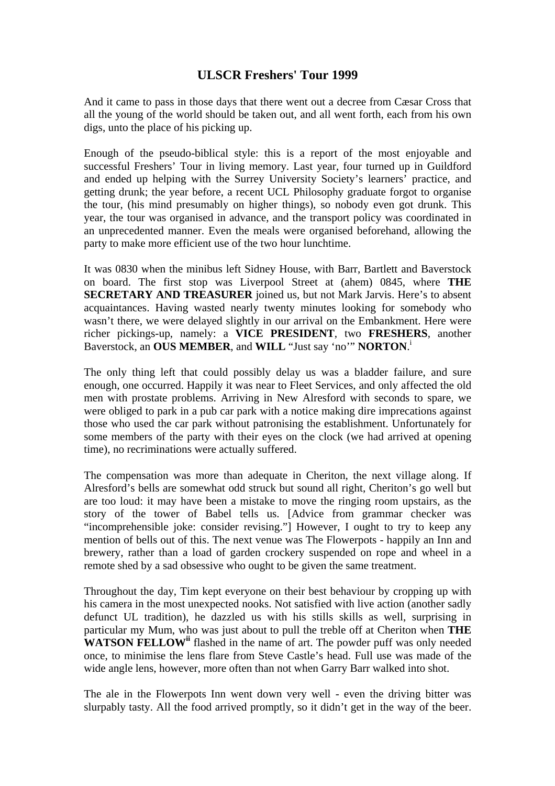## **ULSCR Freshers' Tour 1999**

And it came to pass in those days that there went out a decree from Cæsar Cross that all the young of the world should be taken out, and all went forth, each from his own digs, unto the place of his picking up.

Enough of the pseudo-biblical style: this is a report of the most enjoyable and successful Freshers' Tour in living memory. Last year, four turned up in Guildford and ended up helping with the Surrey University Society's learners' practice, and getting drunk; the year before, a recent UCL Philosophy graduate forgot to organise the tour, (his mind presumably on higher things), so nobody even got drunk. This year, the tour was organised in advance, and the transport policy was coordinated in an unprecedented manner. Even the meals were organised beforehand, allowing the party to make more efficient use of the two hour lunchtime.

It was 0830 when the minibus left Sidney House, with Barr, Bartlett and Baverstock on board. The first stop was Liverpool Street at (ahem) 0845, where **THE SECRETARY AND TREASURER** joined us, but not Mark Jarvis. Here's to absent acquaintances. Having wasted nearly twenty minutes looking for somebody who wasn't there, we were delayed slightly in our arrival on the Embankment. Here were richer pickings-up, namely: a **VICE PRESIDENT**, two **FRESHERS**, another Baverstock, an **OUS MEMBER**, and **WILL** "Just say 'no'" **NORTON**. i

The only thing left that could possibly delay us was a bladder failure, and sure enough, one occurred. Happily it was near to Fleet Services, and only affected the old men with prostate problems. Arriving in New Alresford with seconds to spare, we were obliged to park in a pub car park with a notice making dire imprecations against those who used the car park without patronising the establishment. Unfortunately for some members of the party with their eyes on the clock (we had arrived at opening time), no recriminations were actually suffered.

The compensation was more than adequate in Cheriton, the next village along. If Alresford's bells are somewhat odd struck but sound all right, Cheriton's go well but are too loud: it may have been a mistake to move the ringing room upstairs, as the story of the tower of Babel tells us. [Advice from grammar checker was "incomprehensible joke: consider revising."] However, I ought to try to keep any mention of bells out of this. The next venue was The Flowerpots - happily an Inn and brewery, rather than a load of garden crockery suspended on rope and wheel in a remote shed by a sad obsessive who ought to be given the same treatment.

Throughout the day, Tim kept everyone on their best behaviour by cropping up with his camera in the most unexpected nooks. Not satisfied with live action (another sadly defunct UL tradition), he dazzled us with his stills skills as well, surprising in particular my Mum, who was just about to pull the treble off at Cheriton when **THE WATSON FELLOWii** flashed in the name of art. The powder puff was only needed once, to minimise the lens flare from Steve Castle's head. Full use was made of the wide angle lens, however, more often than not when Garry Barr walked into shot.

The ale in the Flowerpots Inn went down very well - even the driving bitter was slurpably tasty. All the food arrived promptly, so it didn't get in the way of the beer.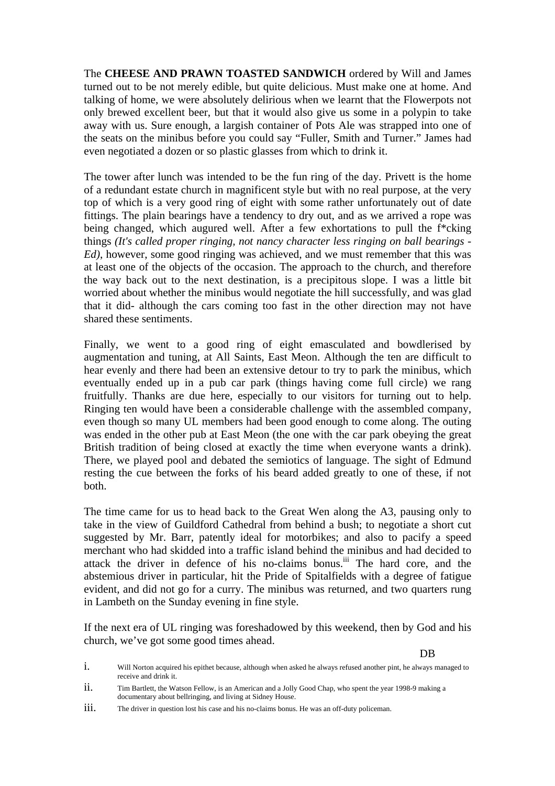The **CHEESE AND PRAWN TOASTED SANDWICH** ordered by Will and James turned out to be not merely edible, but quite delicious. Must make one at home. And talking of home, we were absolutely delirious when we learnt that the Flowerpots not only brewed excellent beer, but that it would also give us some in a polypin to take away with us. Sure enough, a largish container of Pots Ale was strapped into one of the seats on the minibus before you could say "Fuller, Smith and Turner." James had even negotiated a dozen or so plastic glasses from which to drink it.

The tower after lunch was intended to be the fun ring of the day. Privett is the home of a redundant estate church in magnificent style but with no real purpose, at the very top of which is a very good ring of eight with some rather unfortunately out of date fittings. The plain bearings have a tendency to dry out, and as we arrived a rope was being changed, which augured well. After a few exhortations to pull the f\*cking things *(It's called proper ringing, not nancy character less ringing on ball bearings - Ed)*, however, some good ringing was achieved, and we must remember that this was at least one of the objects of the occasion. The approach to the church, and therefore the way back out to the next destination, is a precipitous slope. I was a little bit worried about whether the minibus would negotiate the hill successfully, and was glad that it did- although the cars coming too fast in the other direction may not have shared these sentiments.

Finally, we went to a good ring of eight emasculated and bowdlerised by augmentation and tuning, at All Saints, East Meon. Although the ten are difficult to hear evenly and there had been an extensive detour to try to park the minibus, which eventually ended up in a pub car park (things having come full circle) we rang fruitfully. Thanks are due here, especially to our visitors for turning out to help. Ringing ten would have been a considerable challenge with the assembled company, even though so many UL members had been good enough to come along. The outing was ended in the other pub at East Meon (the one with the car park obeying the great British tradition of being closed at exactly the time when everyone wants a drink). There, we played pool and debated the semiotics of language. The sight of Edmund resting the cue between the forks of his beard added greatly to one of these, if not both.

The time came for us to head back to the Great Wen along the A3, pausing only to take in the view of Guildford Cathedral from behind a bush; to negotiate a short cut suggested by Mr. Barr, patently ideal for motorbikes; and also to pacify a speed merchant who had skidded into a traffic island behind the minibus and had decided to attack the driver in defence of his no-claims bonus.iii The hard core, and the abstemious driver in particular, hit the Pride of Spitalfields with a degree of fatigue evident, and did not go for a curry. The minibus was returned, and two quarters rung in Lambeth on the Sunday evening in fine style.

If the next era of UL ringing was foreshadowed by this weekend, then by God and his church, we've got some good times ahead.

#### DB

i. Will Norton acquired his epithet because, although when asked he always refused another pint, he always managed to receive and drink it.

ii. Tim Bartlett, the Watson Fellow, is an American and a Jolly Good Chap, who spent the year 1998-9 making a documentary about bellringing, and living at Sidney House.

iii. The driver in question lost his case and his no-claims bonus. He was an off-duty policeman.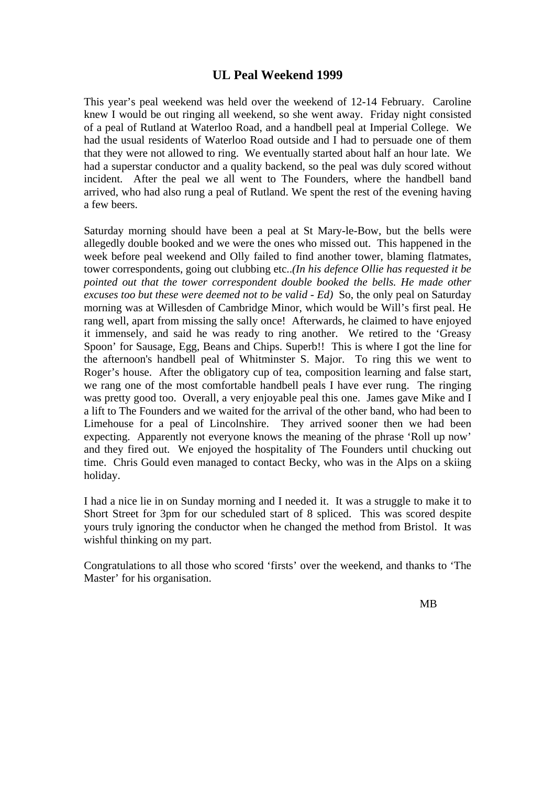## **UL Peal Weekend 1999**

This year's peal weekend was held over the weekend of 12-14 February. Caroline knew I would be out ringing all weekend, so she went away. Friday night consisted of a peal of Rutland at Waterloo Road, and a handbell peal at Imperial College. We had the usual residents of Waterloo Road outside and I had to persuade one of them that they were not allowed to ring. We eventually started about half an hour late. We had a superstar conductor and a quality backend, so the peal was duly scored without incident. After the peal we all went to The Founders, where the handbell band arrived, who had also rung a peal of Rutland. We spent the rest of the evening having a few beers.

Saturday morning should have been a peal at St Mary-le-Bow, but the bells were allegedly double booked and we were the ones who missed out. This happened in the week before peal weekend and Olly failed to find another tower, blaming flatmates, tower correspondents, going out clubbing etc..*(In his defence Ollie has requested it be pointed out that the tower correspondent double booked the bells. He made other excuses too but these were deemed not to be valid - Ed)* So, the only peal on Saturday morning was at Willesden of Cambridge Minor, which would be Will's first peal. He rang well, apart from missing the sally once! Afterwards, he claimed to have enjoyed it immensely, and said he was ready to ring another. We retired to the 'Greasy Spoon' for Sausage, Egg, Beans and Chips. Superb!! This is where I got the line for the afternoon's handbell peal of Whitminster S. Major. To ring this we went to Roger's house. After the obligatory cup of tea, composition learning and false start, we rang one of the most comfortable handbell peals I have ever rung. The ringing was pretty good too. Overall, a very enjoyable peal this one. James gave Mike and I a lift to The Founders and we waited for the arrival of the other band, who had been to Limehouse for a peal of Lincolnshire. They arrived sooner then we had been expecting. Apparently not everyone knows the meaning of the phrase 'Roll up now' and they fired out. We enjoyed the hospitality of The Founders until chucking out time. Chris Gould even managed to contact Becky, who was in the Alps on a skiing holiday.

I had a nice lie in on Sunday morning and I needed it. It was a struggle to make it to Short Street for 3pm for our scheduled start of 8 spliced. This was scored despite yours truly ignoring the conductor when he changed the method from Bristol. It was wishful thinking on my part.

Congratulations to all those who scored 'firsts' over the weekend, and thanks to 'The Master' for his organisation.

MB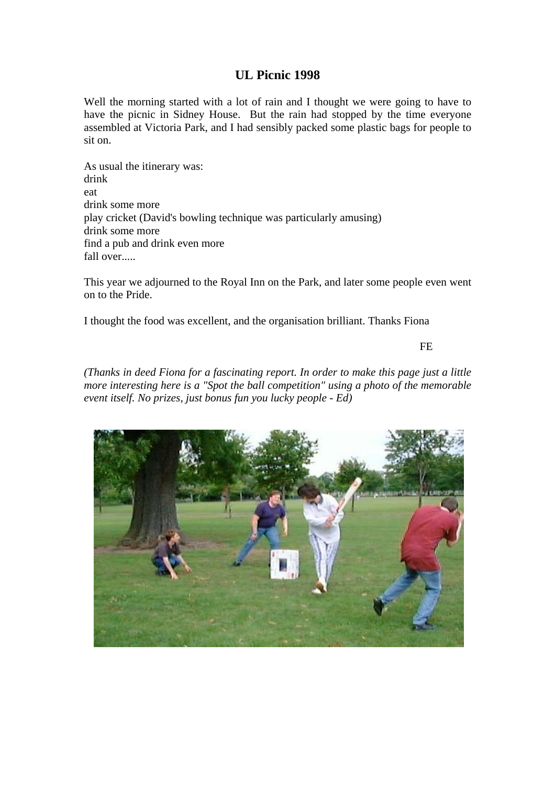# **UL Picnic 1998**

Well the morning started with a lot of rain and I thought we were going to have to have the picnic in Sidney House. But the rain had stopped by the time everyone assembled at Victoria Park, and I had sensibly packed some plastic bags for people to sit on.

As usual the itinerary was: drink eat drink some more play cricket (David's bowling technique was particularly amusing) drink some more find a pub and drink even more fall over.....

This year we adjourned to the Royal Inn on the Park, and later some people even went on to the Pride.

I thought the food was excellent, and the organisation brilliant. Thanks Fiona

FE

*(Thanks in deed Fiona for a fascinating report. In order to make this page just a little more interesting here is a "Spot the ball competition" using a photo of the memorable event itself. No prizes, just bonus fun you lucky people - Ed)*

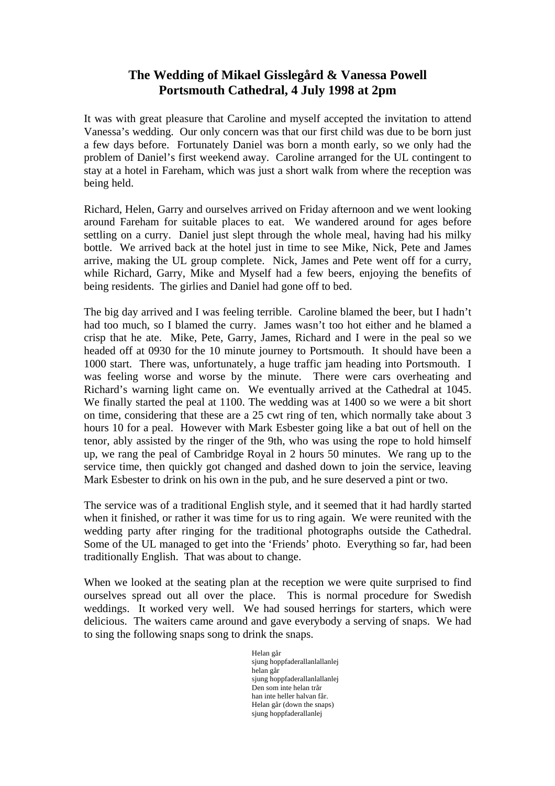# **The Wedding of Mikael Gisslegård & Vanessa Powell Portsmouth Cathedral, 4 July 1998 at 2pm**

It was with great pleasure that Caroline and myself accepted the invitation to attend Vanessa's wedding. Our only concern was that our first child was due to be born just a few days before. Fortunately Daniel was born a month early, so we only had the problem of Daniel's first weekend away. Caroline arranged for the UL contingent to stay at a hotel in Fareham, which was just a short walk from where the reception was being held.

Richard, Helen, Garry and ourselves arrived on Friday afternoon and we went looking around Fareham for suitable places to eat. We wandered around for ages before settling on a curry. Daniel just slept through the whole meal, having had his milky bottle. We arrived back at the hotel just in time to see Mike, Nick, Pete and James arrive, making the UL group complete. Nick, James and Pete went off for a curry, while Richard, Garry, Mike and Myself had a few beers, enjoying the benefits of being residents. The girlies and Daniel had gone off to bed.

The big day arrived and I was feeling terrible. Caroline blamed the beer, but I hadn't had too much, so I blamed the curry. James wasn't too hot either and he blamed a crisp that he ate. Mike, Pete, Garry, James, Richard and I were in the peal so we headed off at 0930 for the 10 minute journey to Portsmouth. It should have been a 1000 start. There was, unfortunately, a huge traffic jam heading into Portsmouth. I was feeling worse and worse by the minute. There were cars overheating and Richard's warning light came on. We eventually arrived at the Cathedral at 1045. We finally started the peal at 1100. The wedding was at 1400 so we were a bit short on time, considering that these are a 25 cwt ring of ten, which normally take about 3 hours 10 for a peal. However with Mark Esbester going like a bat out of hell on the tenor, ably assisted by the ringer of the 9th, who was using the rope to hold himself up, we rang the peal of Cambridge Royal in 2 hours 50 minutes. We rang up to the service time, then quickly got changed and dashed down to join the service, leaving Mark Esbester to drink on his own in the pub, and he sure deserved a pint or two.

The service was of a traditional English style, and it seemed that it had hardly started when it finished, or rather it was time for us to ring again. We were reunited with the wedding party after ringing for the traditional photographs outside the Cathedral. Some of the UL managed to get into the 'Friends' photo. Everything so far, had been traditionally English. That was about to change.

When we looked at the seating plan at the reception we were quite surprised to find ourselves spread out all over the place. This is normal procedure for Swedish weddings. It worked very well. We had soused herrings for starters, which were delicious. The waiters came around and gave everybody a serving of snaps. We had to sing the following snaps song to drink the snaps.

> Helan går sjung hoppfaderallanlallanlej helan går sjung hoppfaderallanlallanlej Den som inte helan trår han inte heller halvan får. Helan går (down the snaps) sjung hoppfaderallanlej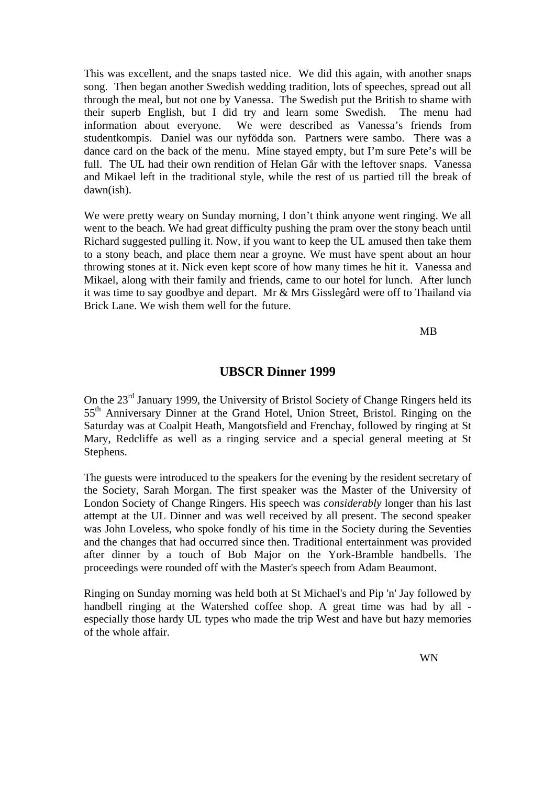This was excellent, and the snaps tasted nice. We did this again, with another snaps song. Then began another Swedish wedding tradition, lots of speeches, spread out all through the meal, but not one by Vanessa. The Swedish put the British to shame with their superb English, but I did try and learn some Swedish. The menu had information about everyone. We were described as Vanessa's friends from studentkompis. Daniel was our nyfödda son. Partners were sambo. There was a dance card on the back of the menu. Mine stayed empty, but I'm sure Pete's will be full. The UL had their own rendition of Helan Går with the leftover snaps. Vanessa and Mikael left in the traditional style, while the rest of us partied till the break of dawn(ish).

We were pretty weary on Sunday morning, I don't think anyone went ringing. We all went to the beach. We had great difficulty pushing the pram over the stony beach until Richard suggested pulling it. Now, if you want to keep the UL amused then take them to a stony beach, and place them near a groyne. We must have spent about an hour throwing stones at it. Nick even kept score of how many times he hit it. Vanessa and Mikael, along with their family and friends, came to our hotel for lunch. After lunch it was time to say goodbye and depart. Mr & Mrs Gisslegård were off to Thailand via Brick Lane. We wish them well for the future.

MB

#### **UBSCR Dinner 1999**

On the 23<sup>rd</sup> January 1999, the University of Bristol Society of Change Ringers held its 55<sup>th</sup> Anniversary Dinner at the Grand Hotel, Union Street, Bristol. Ringing on the Saturday was at Coalpit Heath, Mangotsfield and Frenchay, followed by ringing at St Mary, Redcliffe as well as a ringing service and a special general meeting at St Stephens.

The guests were introduced to the speakers for the evening by the resident secretary of the Society, Sarah Morgan. The first speaker was the Master of the University of London Society of Change Ringers. His speech was *considerably* longer than his last attempt at the UL Dinner and was well received by all present. The second speaker was John Loveless, who spoke fondly of his time in the Society during the Seventies and the changes that had occurred since then. Traditional entertainment was provided after dinner by a touch of Bob Major on the York-Bramble handbells. The proceedings were rounded off with the Master's speech from Adam Beaumont.

Ringing on Sunday morning was held both at St Michael's and Pip 'n' Jay followed by handbell ringing at the Watershed coffee shop. A great time was had by all especially those hardy UL types who made the trip West and have but hazy memories of the whole affair.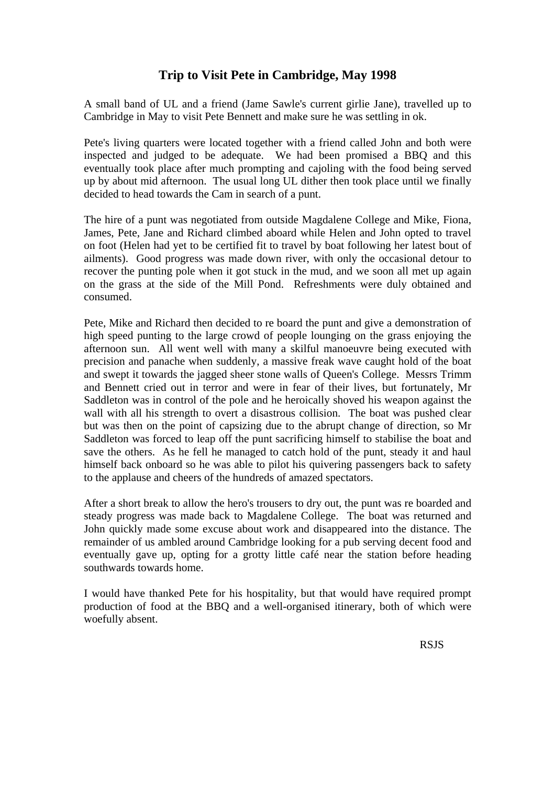# **Trip to Visit Pete in Cambridge, May 1998**

A small band of UL and a friend (Jame Sawle's current girlie Jane), travelled up to Cambridge in May to visit Pete Bennett and make sure he was settling in ok.

Pete's living quarters were located together with a friend called John and both were inspected and judged to be adequate. We had been promised a BBQ and this eventually took place after much prompting and cajoling with the food being served up by about mid afternoon. The usual long UL dither then took place until we finally decided to head towards the Cam in search of a punt.

The hire of a punt was negotiated from outside Magdalene College and Mike, Fiona, James, Pete, Jane and Richard climbed aboard while Helen and John opted to travel on foot (Helen had yet to be certified fit to travel by boat following her latest bout of ailments). Good progress was made down river, with only the occasional detour to recover the punting pole when it got stuck in the mud, and we soon all met up again on the grass at the side of the Mill Pond. Refreshments were duly obtained and consumed.

Pete, Mike and Richard then decided to re board the punt and give a demonstration of high speed punting to the large crowd of people lounging on the grass enjoying the afternoon sun. All went well with many a skilful manoeuvre being executed with precision and panache when suddenly, a massive freak wave caught hold of the boat and swept it towards the jagged sheer stone walls of Queen's College. Messrs Trimm and Bennett cried out in terror and were in fear of their lives, but fortunately, Mr Saddleton was in control of the pole and he heroically shoved his weapon against the wall with all his strength to overt a disastrous collision. The boat was pushed clear but was then on the point of capsizing due to the abrupt change of direction, so Mr Saddleton was forced to leap off the punt sacrificing himself to stabilise the boat and save the others. As he fell he managed to catch hold of the punt, steady it and haul himself back onboard so he was able to pilot his quivering passengers back to safety to the applause and cheers of the hundreds of amazed spectators.

After a short break to allow the hero's trousers to dry out, the punt was re boarded and steady progress was made back to Magdalene College. The boat was returned and John quickly made some excuse about work and disappeared into the distance. The remainder of us ambled around Cambridge looking for a pub serving decent food and eventually gave up, opting for a grotty little café near the station before heading southwards towards home.

I would have thanked Pete for his hospitality, but that would have required prompt production of food at the BBQ and a well-organised itinerary, both of which were woefully absent.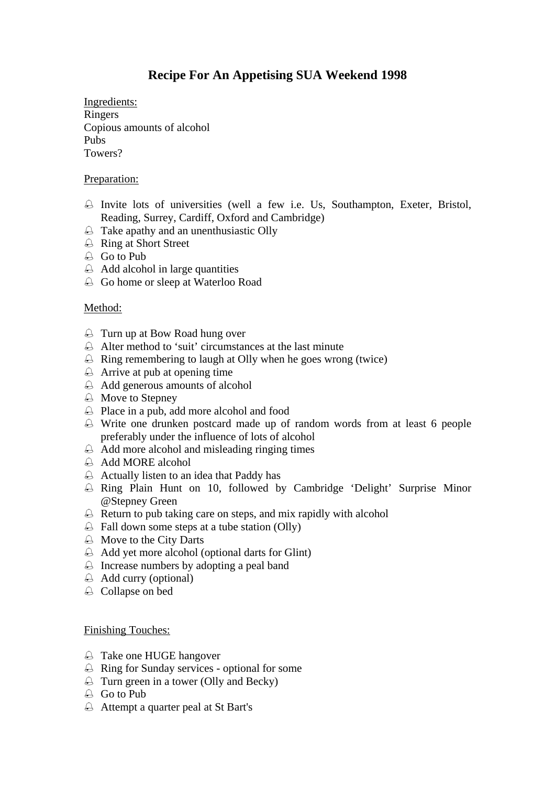# **Recipe For An Appetising SUA Weekend 1998**

Ingredients: Ringers Copious amounts of alcohol Pubs Towers?

#### Preparation:

- Invite lots of universities (well a few i.e. Us, Southampton, Exeter, Bristol, Reading, Surrey, Cardiff, Oxford and Cambridge)
- Take apathy and an unenthusiastic Olly
- Ring at Short Street
- $\bigoplus$  Go to Pub
- $\triangle$  Add alcohol in large quantities
- Go home or sleep at Waterloo Road

#### Method:

- Turn up at Bow Road hung over
- Alter method to 'suit' circumstances at the last minute
- $\triangle$  Ring remembering to laugh at Olly when he goes wrong (twice)
- $\triangle$  Arrive at pub at opening time
- Add generous amounts of alcohol
- Move to Stepney
- Place in a pub, add more alcohol and food
- Write one drunken postcard made up of random words from at least 6 people preferably under the influence of lots of alcohol
- Add more alcohol and misleading ringing times
- $\triangle$  Add MORE alcohol
- $\triangle$  Actually listen to an idea that Paddy has
- Ring Plain Hunt on 10, followed by Cambridge 'Delight' Surprise Minor @Stepney Green
- $\triangle$  Return to pub taking care on steps, and mix rapidly with alcohol
- $\triangle$  Fall down some steps at a tube station (Olly)
- Move to the City Darts
- Add yet more alcohol (optional darts for Glint)
- Increase numbers by adopting a peal band
- $\triangle$  Add curry (optional)
- $\triangle$  Collapse on bed

#### Finishing Touches:

- Take one HUGE hangover
- Ring for Sunday services optional for some
- Turn green in a tower (Olly and Becky)
- Go to Pub
- Attempt a quarter peal at St Bart's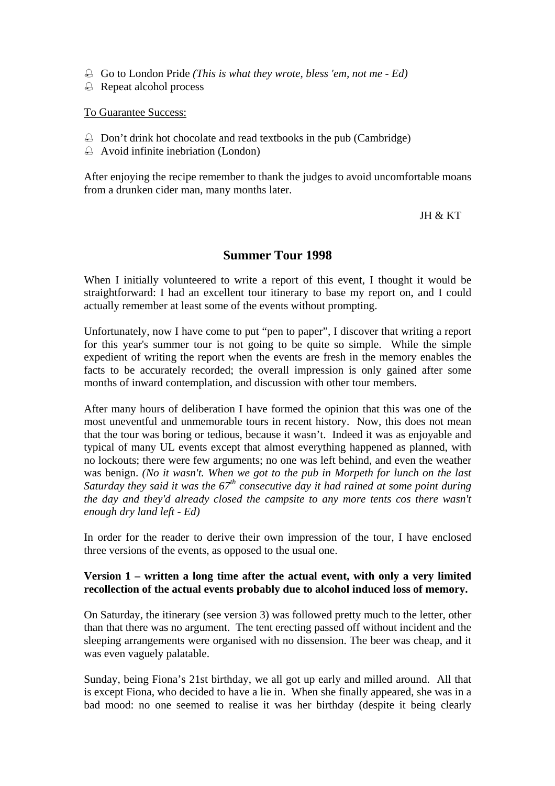- Go to London Pride *(This is what they wrote, bless 'em, not me Ed)*
- Repeat alcohol process

To Guarantee Success:

- $\triangle$  Don't drink hot chocolate and read textbooks in the pub (Cambridge)
- Avoid infinite inebriation (London)

After enjoying the recipe remember to thank the judges to avoid uncomfortable moans from a drunken cider man, many months later.

JH & KT

#### **Summer Tour 1998**

When I initially volunteered to write a report of this event, I thought it would be straightforward: I had an excellent tour itinerary to base my report on, and I could actually remember at least some of the events without prompting.

Unfortunately, now I have come to put "pen to paper", I discover that writing a report for this year's summer tour is not going to be quite so simple. While the simple expedient of writing the report when the events are fresh in the memory enables the facts to be accurately recorded; the overall impression is only gained after some months of inward contemplation, and discussion with other tour members.

After many hours of deliberation I have formed the opinion that this was one of the most uneventful and unmemorable tours in recent history. Now, this does not mean that the tour was boring or tedious, because it wasn't. Indeed it was as enjoyable and typical of many UL events except that almost everything happened as planned, with no lockouts; there were few arguments; no one was left behind, and even the weather was benign. *(No it wasn't. When we got to the pub in Morpeth for lunch on the last Saturday they said it was the 67<sup>th</sup> consecutive day it had rained at some point during the day and they'd already closed the campsite to any more tents cos there wasn't enough dry land left - Ed)*

In order for the reader to derive their own impression of the tour, I have enclosed three versions of the events, as opposed to the usual one.

#### **Version 1 – written a long time after the actual event, with only a very limited recollection of the actual events probably due to alcohol induced loss of memory.**

On Saturday, the itinerary (see version 3) was followed pretty much to the letter, other than that there was no argument. The tent erecting passed off without incident and the sleeping arrangements were organised with no dissension. The beer was cheap, and it was even vaguely palatable.

Sunday, being Fiona's 21st birthday, we all got up early and milled around. All that is except Fiona, who decided to have a lie in. When she finally appeared, she was in a bad mood: no one seemed to realise it was her birthday (despite it being clearly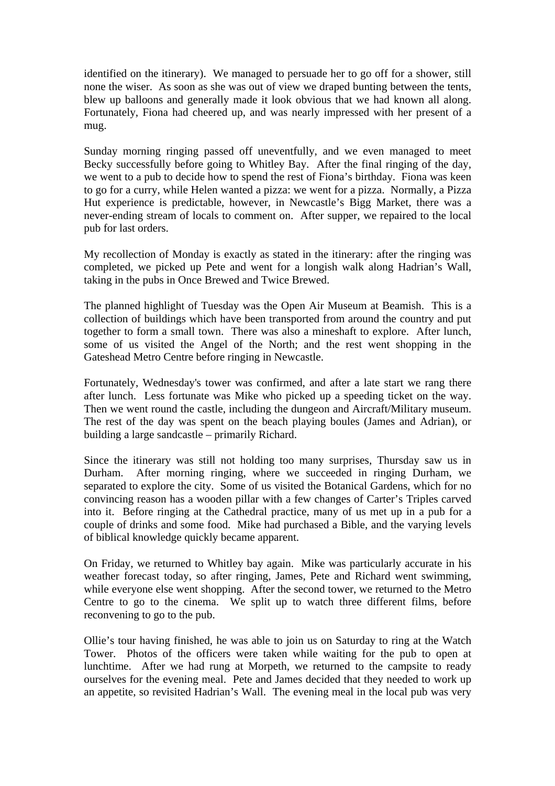identified on the itinerary). We managed to persuade her to go off for a shower, still none the wiser. As soon as she was out of view we draped bunting between the tents, blew up balloons and generally made it look obvious that we had known all along. Fortunately, Fiona had cheered up, and was nearly impressed with her present of a mug.

Sunday morning ringing passed off uneventfully, and we even managed to meet Becky successfully before going to Whitley Bay. After the final ringing of the day, we went to a pub to decide how to spend the rest of Fiona's birthday. Fiona was keen to go for a curry, while Helen wanted a pizza: we went for a pizza. Normally, a Pizza Hut experience is predictable, however, in Newcastle's Bigg Market, there was a never-ending stream of locals to comment on. After supper, we repaired to the local pub for last orders.

My recollection of Monday is exactly as stated in the itinerary: after the ringing was completed, we picked up Pete and went for a longish walk along Hadrian's Wall, taking in the pubs in Once Brewed and Twice Brewed.

The planned highlight of Tuesday was the Open Air Museum at Beamish. This is a collection of buildings which have been transported from around the country and put together to form a small town. There was also a mineshaft to explore. After lunch, some of us visited the Angel of the North; and the rest went shopping in the Gateshead Metro Centre before ringing in Newcastle.

Fortunately, Wednesday's tower was confirmed, and after a late start we rang there after lunch. Less fortunate was Mike who picked up a speeding ticket on the way. Then we went round the castle, including the dungeon and Aircraft/Military museum. The rest of the day was spent on the beach playing boules (James and Adrian), or building a large sandcastle – primarily Richard.

Since the itinerary was still not holding too many surprises, Thursday saw us in Durham. After morning ringing, where we succeeded in ringing Durham, we separated to explore the city. Some of us visited the Botanical Gardens, which for no convincing reason has a wooden pillar with a few changes of Carter's Triples carved into it. Before ringing at the Cathedral practice, many of us met up in a pub for a couple of drinks and some food. Mike had purchased a Bible, and the varying levels of biblical knowledge quickly became apparent.

On Friday, we returned to Whitley bay again. Mike was particularly accurate in his weather forecast today, so after ringing, James, Pete and Richard went swimming, while everyone else went shopping. After the second tower, we returned to the Metro Centre to go to the cinema. We split up to watch three different films, before reconvening to go to the pub.

Ollie's tour having finished, he was able to join us on Saturday to ring at the Watch Tower. Photos of the officers were taken while waiting for the pub to open at lunchtime. After we had rung at Morpeth, we returned to the campsite to ready ourselves for the evening meal. Pete and James decided that they needed to work up an appetite, so revisited Hadrian's Wall. The evening meal in the local pub was very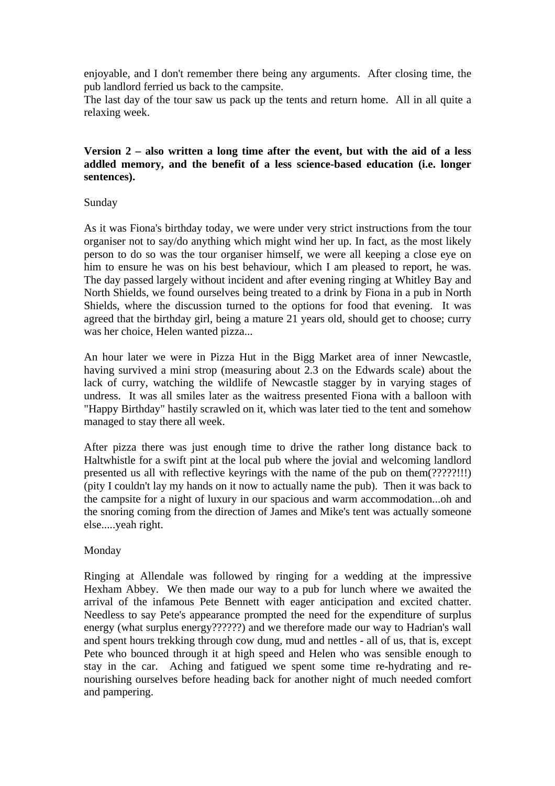enjoyable, and I don't remember there being any arguments. After closing time, the pub landlord ferried us back to the campsite.

The last day of the tour saw us pack up the tents and return home. All in all quite a relaxing week.

#### **Version 2 – also written a long time after the event, but with the aid of a less addled memory, and the benefit of a less science-based education (i.e. longer sentences).**

#### Sunday

As it was Fiona's birthday today, we were under very strict instructions from the tour organiser not to say/do anything which might wind her up. In fact, as the most likely person to do so was the tour organiser himself, we were all keeping a close eye on him to ensure he was on his best behaviour, which I am pleased to report, he was. The day passed largely without incident and after evening ringing at Whitley Bay and North Shields, we found ourselves being treated to a drink by Fiona in a pub in North Shields, where the discussion turned to the options for food that evening. It was agreed that the birthday girl, being a mature 21 years old, should get to choose; curry was her choice, Helen wanted pizza...

An hour later we were in Pizza Hut in the Bigg Market area of inner Newcastle, having survived a mini strop (measuring about 2.3 on the Edwards scale) about the lack of curry, watching the wildlife of Newcastle stagger by in varying stages of undress. It was all smiles later as the waitress presented Fiona with a balloon with "Happy Birthday" hastily scrawled on it, which was later tied to the tent and somehow managed to stay there all week.

After pizza there was just enough time to drive the rather long distance back to Haltwhistle for a swift pint at the local pub where the jovial and welcoming landlord presented us all with reflective keyrings with the name of the pub on them(?????!!!) (pity I couldn't lay my hands on it now to actually name the pub). Then it was back to the campsite for a night of luxury in our spacious and warm accommodation...oh and the snoring coming from the direction of James and Mike's tent was actually someone else.....yeah right.

#### Monday

Ringing at Allendale was followed by ringing for a wedding at the impressive Hexham Abbey. We then made our way to a pub for lunch where we awaited the arrival of the infamous Pete Bennett with eager anticipation and excited chatter. Needless to say Pete's appearance prompted the need for the expenditure of surplus energy (what surplus energy???????) and we therefore made our way to Hadrian's wall and spent hours trekking through cow dung, mud and nettles - all of us, that is, except Pete who bounced through it at high speed and Helen who was sensible enough to stay in the car. Aching and fatigued we spent some time re-hydrating and renourishing ourselves before heading back for another night of much needed comfort and pampering.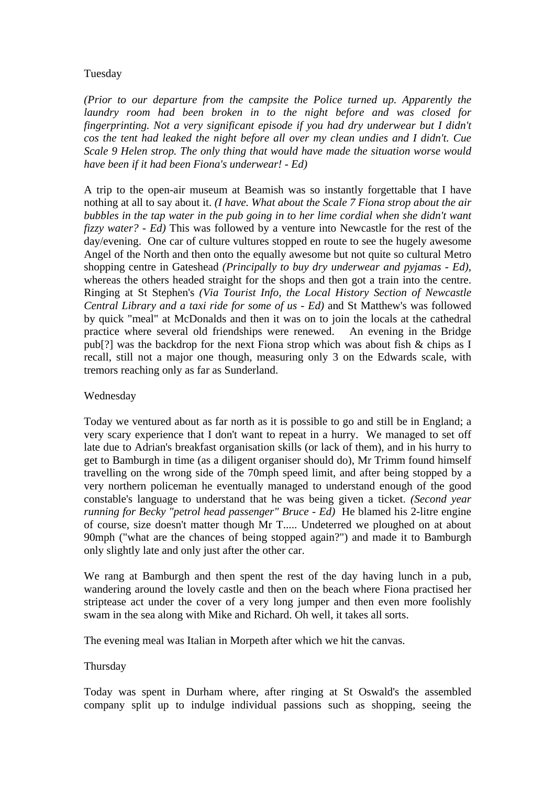#### Tuesday

*(Prior to our departure from the campsite the Police turned up. Apparently the laundry room had been broken in to the night before and was closed for fingerprinting. Not a very significant episode if you had dry underwear but I didn't cos the tent had leaked the night before all over my clean undies and I didn't. Cue Scale 9 Helen strop. The only thing that would have made the situation worse would have been if it had been Fiona's underwear! - Ed)*

A trip to the open-air museum at Beamish was so instantly forgettable that I have nothing at all to say about it. *(I have. What about the Scale 7 Fiona strop about the air bubbles in the tap water in the pub going in to her lime cordial when she didn't want fizzy water? - Ed)* This was followed by a venture into Newcastle for the rest of the day/evening. One car of culture vultures stopped en route to see the hugely awesome Angel of the North and then onto the equally awesome but not quite so cultural Metro shopping centre in Gateshead *(Principally to buy dry underwear and pyjamas - Ed)*, whereas the others headed straight for the shops and then got a train into the centre. Ringing at St Stephen's *(Via Tourist Info, the Local History Section of Newcastle Central Library and a taxi ride for some of us - Ed)* and St Matthew's was followed by quick "meal" at McDonalds and then it was on to join the locals at the cathedral practice where several old friendships were renewed. An evening in the Bridge pub[?] was the backdrop for the next Fiona strop which was about fish & chips as I recall, still not a major one though, measuring only 3 on the Edwards scale, with tremors reaching only as far as Sunderland.

#### Wednesday

Today we ventured about as far north as it is possible to go and still be in England; a very scary experience that I don't want to repeat in a hurry. We managed to set off late due to Adrian's breakfast organisation skills (or lack of them), and in his hurry to get to Bamburgh in time (as a diligent organiser should do), Mr Trimm found himself travelling on the wrong side of the 70mph speed limit, and after being stopped by a very northern policeman he eventually managed to understand enough of the good constable's language to understand that he was being given a ticket. *(Second year running for Becky "petrol head passenger" Bruce - Ed)* He blamed his 2-litre engine of course, size doesn't matter though Mr T..... Undeterred we ploughed on at about 90mph ("what are the chances of being stopped again?") and made it to Bamburgh only slightly late and only just after the other car.

We rang at Bamburgh and then spent the rest of the day having lunch in a pub, wandering around the lovely castle and then on the beach where Fiona practised her striptease act under the cover of a very long jumper and then even more foolishly swam in the sea along with Mike and Richard. Oh well, it takes all sorts.

The evening meal was Italian in Morpeth after which we hit the canvas.

#### Thursday

Today was spent in Durham where, after ringing at St Oswald's the assembled company split up to indulge individual passions such as shopping, seeing the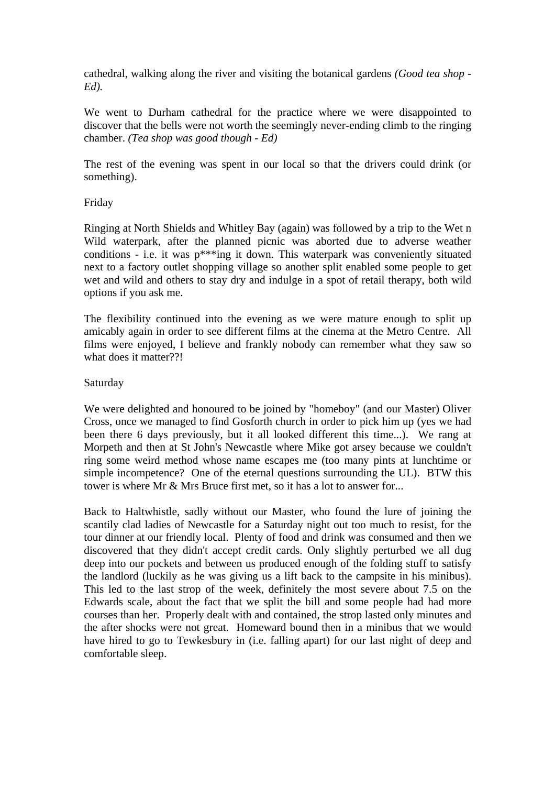cathedral, walking along the river and visiting the botanical gardens *(Good tea shop - Ed).*

We went to Durham cathedral for the practice where we were disappointed to discover that the bells were not worth the seemingly never-ending climb to the ringing chamber. *(Tea shop was good though - Ed)*

The rest of the evening was spent in our local so that the drivers could drink (or something).

#### Friday

Ringing at North Shields and Whitley Bay (again) was followed by a trip to the Wet n Wild waterpark, after the planned picnic was aborted due to adverse weather conditions - i.e. it was p\*\*\*ing it down. This waterpark was conveniently situated next to a factory outlet shopping village so another split enabled some people to get wet and wild and others to stay dry and indulge in a spot of retail therapy, both wild options if you ask me.

The flexibility continued into the evening as we were mature enough to split up amicably again in order to see different films at the cinema at the Metro Centre. All films were enjoyed, I believe and frankly nobody can remember what they saw so what does it matter??!

#### Saturday

We were delighted and honoured to be joined by "homeboy" (and our Master) Oliver Cross, once we managed to find Gosforth church in order to pick him up (yes we had been there 6 days previously, but it all looked different this time...). We rang at Morpeth and then at St John's Newcastle where Mike got arsey because we couldn't ring some weird method whose name escapes me (too many pints at lunchtime or simple incompetence? One of the eternal questions surrounding the UL). BTW this tower is where Mr & Mrs Bruce first met, so it has a lot to answer for...

Back to Haltwhistle, sadly without our Master, who found the lure of joining the scantily clad ladies of Newcastle for a Saturday night out too much to resist, for the tour dinner at our friendly local. Plenty of food and drink was consumed and then we discovered that they didn't accept credit cards. Only slightly perturbed we all dug deep into our pockets and between us produced enough of the folding stuff to satisfy the landlord (luckily as he was giving us a lift back to the campsite in his minibus). This led to the last strop of the week, definitely the most severe about 7.5 on the Edwards scale, about the fact that we split the bill and some people had had more courses than her. Properly dealt with and contained, the strop lasted only minutes and the after shocks were not great. Homeward bound then in a minibus that we would have hired to go to Tewkesbury in (i.e. falling apart) for our last night of deep and comfortable sleep.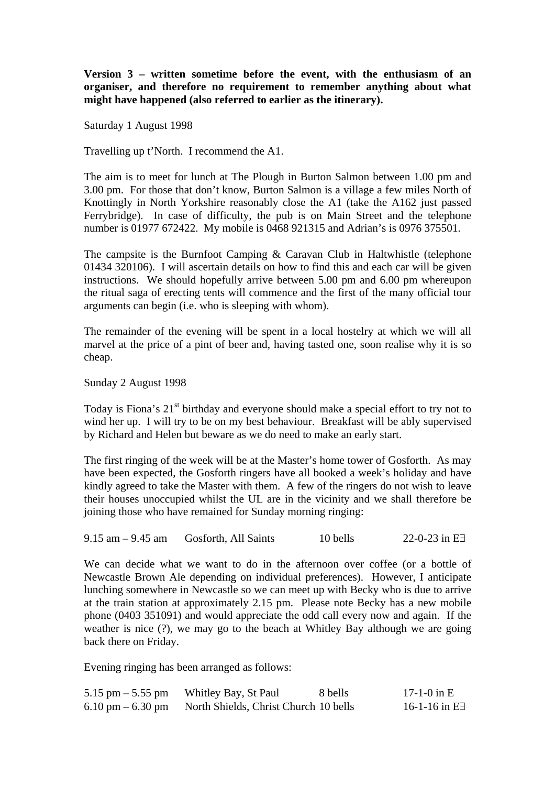**Version 3 – written sometime before the event, with the enthusiasm of an organiser, and therefore no requirement to remember anything about what might have happened (also referred to earlier as the itinerary).**

Saturday 1 August 1998

Travelling up t'North. I recommend the A1.

The aim is to meet for lunch at The Plough in Burton Salmon between 1.00 pm and 3.00 pm. For those that don't know, Burton Salmon is a village a few miles North of Knottingly in North Yorkshire reasonably close the A1 (take the A162 just passed Ferrybridge). In case of difficulty, the pub is on Main Street and the telephone number is 01977 672422. My mobile is 0468 921315 and Adrian's is 0976 375501.

The campsite is the Burnfoot Camping & Caravan Club in Haltwhistle (telephone 01434 320106). I will ascertain details on how to find this and each car will be given instructions. We should hopefully arrive between 5.00 pm and 6.00 pm whereupon the ritual saga of erecting tents will commence and the first of the many official tour arguments can begin (i.e. who is sleeping with whom).

The remainder of the evening will be spent in a local hostelry at which we will all marvel at the price of a pint of beer and, having tasted one, soon realise why it is so cheap.

Sunday 2 August 1998

Today is Fiona's  $21<sup>st</sup>$  birthday and everyone should make a special effort to try not to wind her up. I will try to be on my best behaviour. Breakfast will be ably supervised by Richard and Helen but beware as we do need to make an early start.

The first ringing of the week will be at the Master's home tower of Gosforth. As may have been expected, the Gosforth ringers have all booked a week's holiday and have kindly agreed to take the Master with them. A few of the ringers do not wish to leave their houses unoccupied whilst the UL are in the vicinity and we shall therefore be joining those who have remained for Sunday morning ringing:

| $9.15$ am $-9.45$ am<br>Gosforth, All Saints | 10 bells | 22-0-23 in $E \exists$ |
|----------------------------------------------|----------|------------------------|
|----------------------------------------------|----------|------------------------|

We can decide what we want to do in the afternoon over coffee (or a bottle of Newcastle Brown Ale depending on individual preferences). However, I anticipate lunching somewhere in Newcastle so we can meet up with Becky who is due to arrive at the train station at approximately 2.15 pm. Please note Becky has a new mobile phone (0403 351091) and would appreciate the odd call every now and again. If the weather is nice (?), we may go to the beach at Whitley Bay although we are going back there on Friday.

Evening ringing has been arranged as follows:

| 5.15 pm $-$ 5.55 pm | Whitley Bay, St Paul                  | 8 bells | 17-1-0 in E              |
|---------------------|---------------------------------------|---------|--------------------------|
| 6.10 pm $-$ 6.30 pm | North Shields, Christ Church 10 bells |         | $16-1-16$ in E $\exists$ |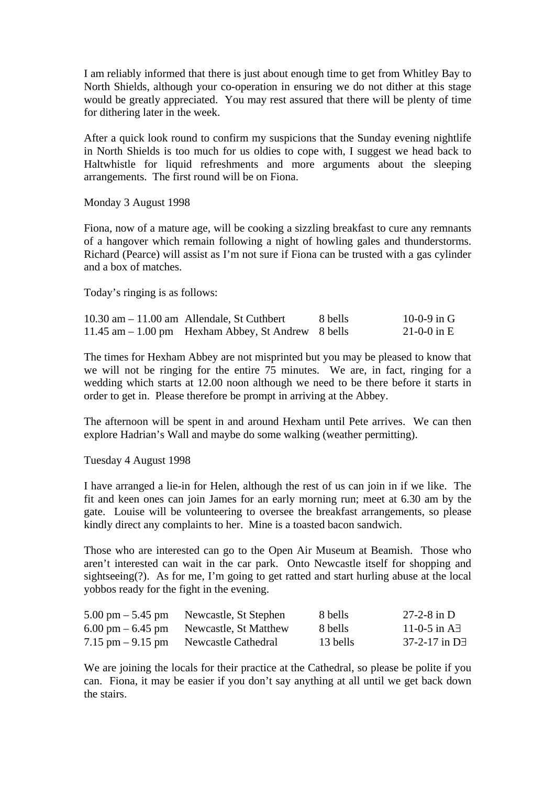I am reliably informed that there is just about enough time to get from Whitley Bay to North Shields, although your co-operation in ensuring we do not dither at this stage would be greatly appreciated. You may rest assured that there will be plenty of time for dithering later in the week.

After a quick look round to confirm my suspicions that the Sunday evening nightlife in North Shields is too much for us oldies to cope with, I suggest we head back to Haltwhistle for liquid refreshments and more arguments about the sleeping arrangements. The first round will be on Fiona.

Monday 3 August 1998

Fiona, now of a mature age, will be cooking a sizzling breakfast to cure any remnants of a hangover which remain following a night of howling gales and thunderstorms. Richard (Pearce) will assist as I'm not sure if Fiona can be trusted with a gas cylinder and a box of matches.

Today's ringing is as follows:

| $10.30$ am $-11.00$ am Allendale, St Cuthbert       | 8 bells | 10-0-9 in G |
|-----------------------------------------------------|---------|-------------|
| 11.45 am $-1.00$ pm Hexham Abbey, St Andrew 8 bells |         | 21-0-0 in E |

The times for Hexham Abbey are not misprinted but you may be pleased to know that we will not be ringing for the entire 75 minutes. We are, in fact, ringing for a wedding which starts at 12.00 noon although we need to be there before it starts in order to get in. Please therefore be prompt in arriving at the Abbey.

The afternoon will be spent in and around Hexham until Pete arrives. We can then explore Hadrian's Wall and maybe do some walking (weather permitting).

Tuesday 4 August 1998

I have arranged a lie-in for Helen, although the rest of us can join in if we like. The fit and keen ones can join James for an early morning run; meet at 6.30 am by the gate. Louise will be volunteering to oversee the breakfast arrangements, so please kindly direct any complaints to her. Mine is a toasted bacon sandwich.

Those who are interested can go to the Open Air Museum at Beamish. Those who aren't interested can wait in the car park. Onto Newcastle itself for shopping and sightseeing(?). As for me, I'm going to get ratted and start hurling abuse at the local yobbos ready for the fight in the evening.

| $5.00 \text{ pm} - 5.45 \text{ pm}$ | Newcastle, St Stephen                                     | 8 bells  | 27-2-8 in D               |
|-------------------------------------|-----------------------------------------------------------|----------|---------------------------|
|                                     | $6.00 \text{ pm} - 6.45 \text{ pm}$ Newcastle, St Matthew | 8 bells  | 11-0-5 in $\overline{AB}$ |
| $7.15$ pm $-9.15$ pm                | Newcastle Cathedral                                       | 13 bells | $37-2-17$ in D $\exists$  |

We are joining the locals for their practice at the Cathedral, so please be polite if you can. Fiona, it may be easier if you don't say anything at all until we get back down the stairs.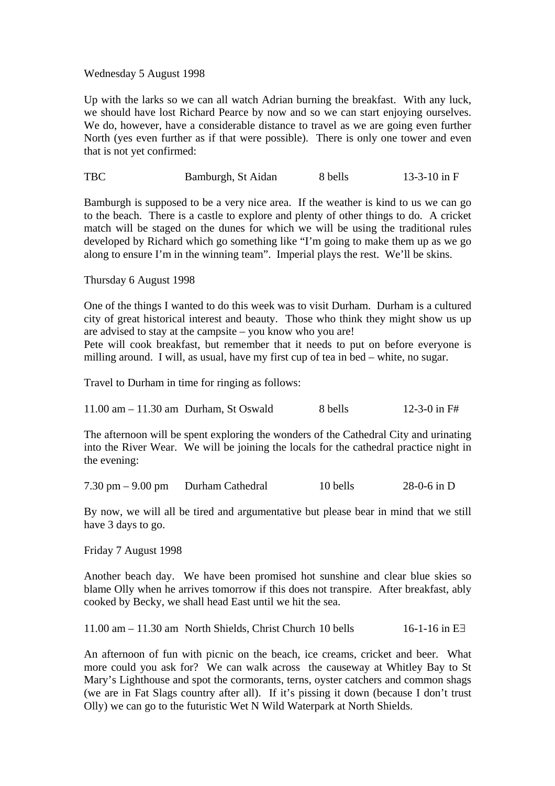#### Wednesday 5 August 1998

Up with the larks so we can all watch Adrian burning the breakfast. With any luck, we should have lost Richard Pearce by now and so we can start enjoying ourselves. We do, however, have a considerable distance to travel as we are going even further North (yes even further as if that were possible). There is only one tower and even that is not yet confirmed:

TBC Bamburgh, St Aidan 8 bells 13-3-10 in F

Bamburgh is supposed to be a very nice area. If the weather is kind to us we can go to the beach. There is a castle to explore and plenty of other things to do. A cricket match will be staged on the dunes for which we will be using the traditional rules developed by Richard which go something like "I'm going to make them up as we go along to ensure I'm in the winning team". Imperial plays the rest. We'll be skins.

#### Thursday 6 August 1998

One of the things I wanted to do this week was to visit Durham. Durham is a cultured city of great historical interest and beauty. Those who think they might show us up are advised to stay at the campsite – you know who you are!

Pete will cook breakfast, but remember that it needs to put on before everyone is milling around. I will, as usual, have my first cup of tea in bed – white, no sugar.

Travel to Durham in time for ringing as follows:

|  | $11.00$ am $-11.30$ am Durham, St Oswald | 8 bells | 12-3-0 in $F#$ |
|--|------------------------------------------|---------|----------------|
|--|------------------------------------------|---------|----------------|

The afternoon will be spent exploring the wonders of the Cathedral City and urinating into the River Wear. We will be joining the locals for the cathedral practice night in the evening:

| 7.30 pm $-9.00$ pm<br>$28-0-6$ in D<br>10 bells<br>Durham Cathedral |  |
|---------------------------------------------------------------------|--|
|---------------------------------------------------------------------|--|

By now, we will all be tired and argumentative but please bear in mind that we still have 3 days to go.

Friday 7 August 1998

Another beach day. We have been promised hot sunshine and clear blue skies so blame Olly when he arrives tomorrow if this does not transpire. After breakfast, ably cooked by Becky, we shall head East until we hit the sea.

11.00 am – 11.30 am North Shields, Christ Church 10 bells 16-1-16 in E $\exists$ 

An afternoon of fun with picnic on the beach, ice creams, cricket and beer. What more could you ask for? We can walk across the causeway at Whitley Bay to St Mary's Lighthouse and spot the cormorants, terns, oyster catchers and common shags (we are in Fat Slags country after all). If it's pissing it down (because I don't trust Olly) we can go to the futuristic Wet N Wild Waterpark at North Shields.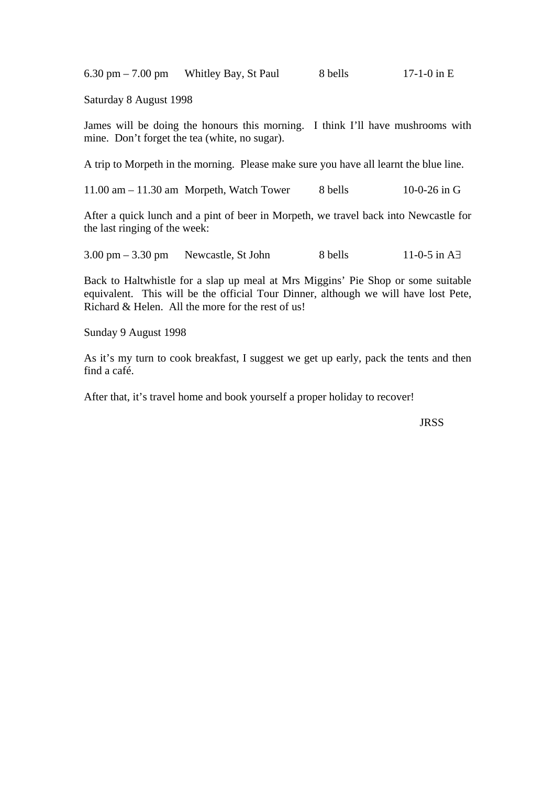6.30 pm – 7.00 pm – Whitley Bay, St Paul 8 bells 17-1-0 in E

Saturday 8 August 1998

James will be doing the honours this morning. I think I'll have mushrooms with mine. Don't forget the tea (white, no sugar).

A trip to Morpeth in the morning. Please make sure you have all learnt the blue line.

11.00 am – 11.30 am Morpeth, Watch Tower 8 bells 10-0-26 in G

After a quick lunch and a pint of beer in Morpeth, we travel back into Newcastle for the last ringing of the week:

3.00 pm – 3.30 pm Newcastle, St John 8 bells 11-0-5 in A∃

Back to Haltwhistle for a slap up meal at Mrs Miggins' Pie Shop or some suitable equivalent. This will be the official Tour Dinner, although we will have lost Pete, Richard & Helen. All the more for the rest of us!

Sunday 9 August 1998

As it's my turn to cook breakfast, I suggest we get up early, pack the tents and then find a café.

After that, it's travel home and book yourself a proper holiday to recover!

**JRSS**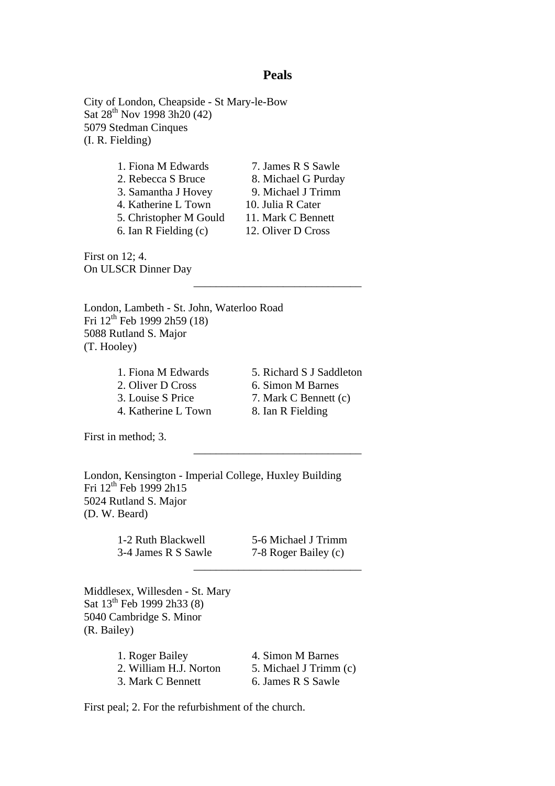#### **Peals**

\_\_\_\_\_\_\_\_\_\_\_\_\_\_\_\_\_\_\_\_\_\_\_\_\_\_\_\_\_\_

\_\_\_\_\_\_\_\_\_\_\_\_\_\_\_\_\_\_\_\_\_\_\_\_\_\_\_\_\_\_

\_\_\_\_\_\_\_\_\_\_\_\_\_\_\_\_\_\_\_\_\_\_\_\_\_\_\_\_\_\_

City of London, Cheapside - St Mary-le-Bow Sat  $28^{th}$  Nov 1998 3h20 (42) 5079 Stedman Cinques (I. R. Fielding)

| 1. Fiona M Edwards     | 7. James R S Sawle  |
|------------------------|---------------------|
| 2. Rebecca S Bruce     | 8. Michael G Purday |
| 3. Samantha J Hovey    | 9. Michael J Trimm  |
| 4. Katherine L Town    | 10. Julia R Cater   |
| 5. Christopher M Gould | 11. Mark C Bennett  |
| 6. Ian R Fielding (c)  | 12. Oliver D Cross  |

First on 12; 4. On ULSCR Dinner Day

London, Lambeth - St. John, Waterloo Road Fri  $12^{th}$  Feb 1999 2h59 (18) 5088 Rutland S. Major (T. Hooley)

> 2. Oliver D Cross 6. Simon M Barnes 4. Katherine L Town 8. Ian R Fielding

1. Fiona M Edwards 5. Richard S J Saddleton 3. Louise S Price 7. Mark C Bennett (c)

First in method; 3.

London, Kensington - Imperial College, Huxley Building Fri  $12^{th}$  Feb 1999 2h15 5024 Rutland S. Major (D. W. Beard)

| 1-2 Ruth Blackwell  | 5-6 Michael J Trimm  |
|---------------------|----------------------|
| 3-4 James R S Sawle | 7-8 Roger Bailey (c) |

Middlesex, Willesden - St. Mary Sat 13<sup>th</sup> Feb 1999 2h33 (8) 5040 Cambridge S. Minor (R. Bailey)

| 1. Roger Bailey        | 4. Simon M Barnes      |
|------------------------|------------------------|
| 2. William H.J. Norton | 5. Michael J Trimm (c) |
| 3. Mark C Bennett      | 6. James R S Sawle     |

First peal; 2. For the refurbishment of the church.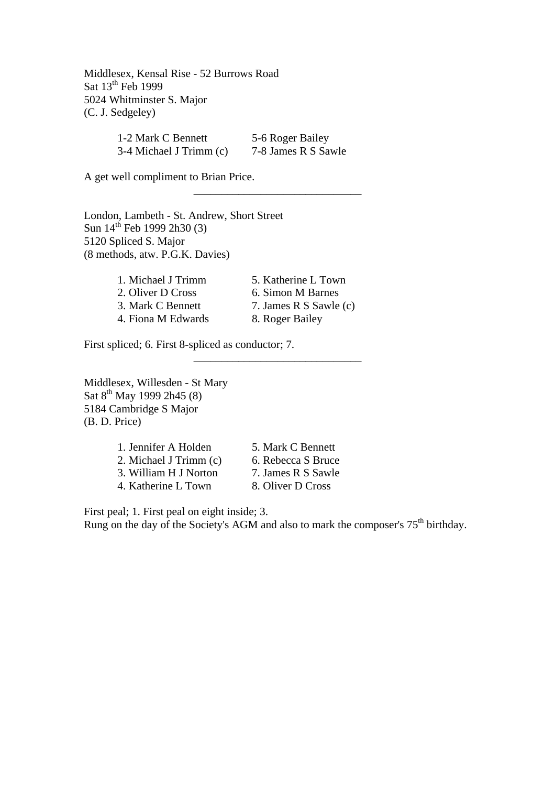Middlesex, Kensal Rise - 52 Burrows Road Sat 13<sup>th</sup> Feb 1999 5024 Whitminster S. Major (C. J. Sedgeley)

| 1-2 Mark C Bennett      | 5-6 Roger Bailey    |
|-------------------------|---------------------|
| 3-4 Michael J Trimm (c) | 7-8 James R S Sawle |

\_\_\_\_\_\_\_\_\_\_\_\_\_\_\_\_\_\_\_\_\_\_\_\_\_\_\_\_\_\_

\_\_\_\_\_\_\_\_\_\_\_\_\_\_\_\_\_\_\_\_\_\_\_\_\_\_\_\_\_\_

A get well compliment to Brian Price.

London, Lambeth - St. Andrew, Short Street Sun  $14^{th}$  Feb 1999 2h30 (3) 5120 Spliced S. Major (8 methods, atw. P.G.K. Davies)

| 1. Michael J Trimm | 5. Katherine L Town    |
|--------------------|------------------------|
| 2. Oliver D Cross  | 6. Simon M Barnes      |
| 3. Mark C Bennett  | 7. James R S Sawle (c) |
| 4. Fiona M Edwards | 8. Roger Bailey        |

First spliced; 6. First 8-spliced as conductor; 7.

Middlesex, Willesden - St Mary Sat  $8^{th}$  May 1999 2h45 (8) 5184 Cambridge S Major (B. D. Price)

| 1. Jennifer A Holden   |  |
|------------------------|--|
| 2. Michael J Trimm (c) |  |
| 3. William H J Norton  |  |
| 4. Katherine L Town    |  |

5. Mark C Bennett 6. Rebecca S Bruce 7. James R S Sawle 8. Oliver D Cross

First peal; 1. First peal on eight inside; 3. Rung on the day of the Society's AGM and also to mark the composer's  $75<sup>th</sup>$  birthday.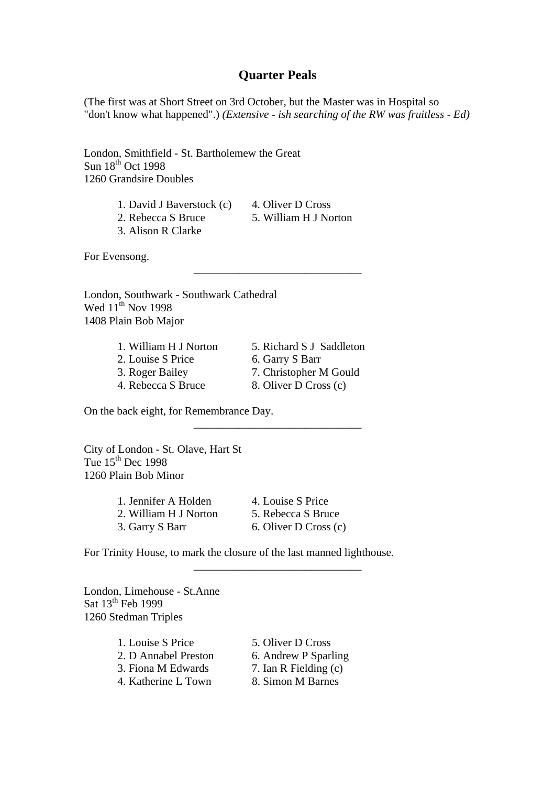#### **Quarter Peals**

(The first was at Short Street on 3rd October, but the Master was in Hospital so "don't know what happened".) *(Extensive - ish searching of the RW was fruitless - Ed)*

London, Smithfield - St. Bartholemew the Great  $Sun 18<sup>th</sup> Oct 1998$ 1260 Grandsire Doubles

- 1. David J Baverstock (c) 4. Oliver D Cross
- 2. Rebecca S Bruce 5. William H J Norton

\_\_\_\_\_\_\_\_\_\_\_\_\_\_\_\_\_\_\_\_\_\_\_\_\_\_\_\_\_\_

\_\_\_\_\_\_\_\_\_\_\_\_\_\_\_\_\_\_\_\_\_\_\_\_\_\_\_\_\_\_

\_\_\_\_\_\_\_\_\_\_\_\_\_\_\_\_\_\_\_\_\_\_\_\_\_\_\_\_\_\_

3. Alison R Clarke

For Evensong.

London, Southwark - Southwark Cathedral Wed 11<sup>th</sup> Nov 1998 1408 Plain Bob Major

> 1. William H J Norton 5. Richard S J Saddleton 2. Louise S Price 6. Garry S Barr

4. Rebecca S Bruce 8. Oliver D Cross (c)

3. Roger Bailey 7. Christopher M Gould

On the back eight, for Remembrance Day.

City of London - St. Olave, Hart St Tue  $15<sup>th</sup>$  Dec 1998 1260 Plain Bob Minor

| 1. Jennifer A Holden  | 4. Louise S Price     |
|-----------------------|-----------------------|
| 2. William H J Norton | 5. Rebecca S Bruce    |
| 3. Garry S Barr       | 6. Oliver D Cross (c) |

For Trinity House, to mark the closure of the last manned lighthouse.

London, Limehouse - St.Anne Sat  $13<sup>th</sup>$  Feb 1999 1260 Stedman Triples

| 1. Louise S Price    | 5. Oliver D Cross     |
|----------------------|-----------------------|
| 2. D Annabel Preston | 6. Andrew P Sparling  |
| 3. Fiona M Edwards   | 7. Ian R Fielding (c) |
| 4. Katherine L Town  | 8. Simon M Barnes     |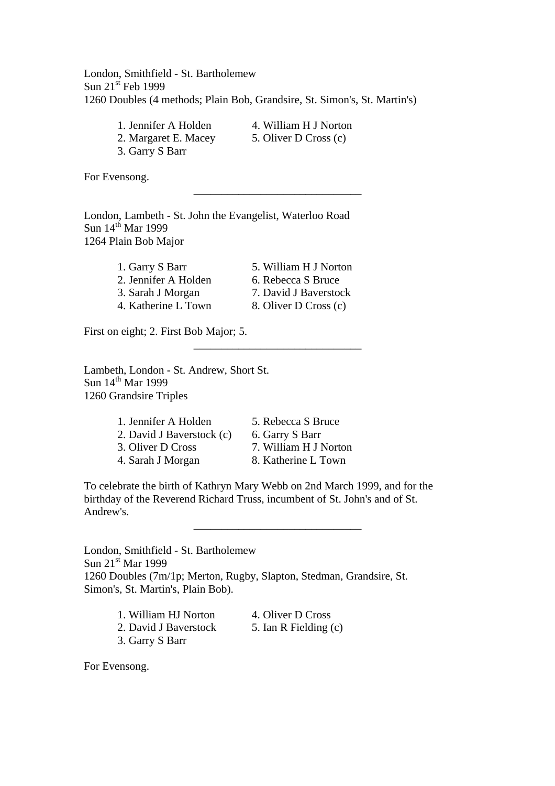London, Smithfield - St. Bartholemew Sun  $21<sup>st</sup>$  Feb 1999 1260 Doubles (4 methods; Plain Bob, Grandsire, St. Simon's, St. Martin's)

1. Jennifer A Holden 4. William H J Norton 2. Margaret E. Macey 5. Oliver D Cross (c) 3. Garry S Barr

\_\_\_\_\_\_\_\_\_\_\_\_\_\_\_\_\_\_\_\_\_\_\_\_\_\_\_\_\_\_

\_\_\_\_\_\_\_\_\_\_\_\_\_\_\_\_\_\_\_\_\_\_\_\_\_\_\_\_\_\_

For Evensong.

London, Lambeth - St. John the Evangelist, Waterloo Road Sun 14<sup>th</sup> Mar 1999 1264 Plain Bob Major

| 1. Garry S Barr      | 5. William H J Norton |
|----------------------|-----------------------|
| 2. Jennifer A Holden | 6. Rebecca S Bruce    |
| 3. Sarah J Morgan    | 7. David J Baverstock |
| 4. Katherine L Town  | 8. Oliver D Cross (c) |

First on eight; 2. First Bob Major; 5.

Lambeth, London - St. Andrew, Short St. Sun  $14<sup>th</sup>$  Mar 1999 1260 Grandsire Triples

> 1. Jennifer A Holden 5. Rebecca S Bruce 2. David J Baverstock (c) 6. Garry S Barr 3. Oliver D Cross 7. William H J Norton 4. Sarah J Morgan 8. Katherine L Town

To celebrate the birth of Kathryn Mary Webb on 2nd March 1999, and for the birthday of the Reverend Richard Truss, incumbent of St. John's and of St. Andrew's.

\_\_\_\_\_\_\_\_\_\_\_\_\_\_\_\_\_\_\_\_\_\_\_\_\_\_\_\_\_\_

London, Smithfield - St. Bartholemew Sun 21<sup>st</sup> Mar 1999 1260 Doubles (7m/1p; Merton, Rugby, Slapton, Stedman, Grandsire, St. Simon's, St. Martin's, Plain Bob).

| 1. William HJ Norton  | 4. |
|-----------------------|----|
| 2. David J Baverstock |    |

- 3. Garry S Barr
- Oliver D Cross
- Ian R Fielding  $(c)$

For Evensong.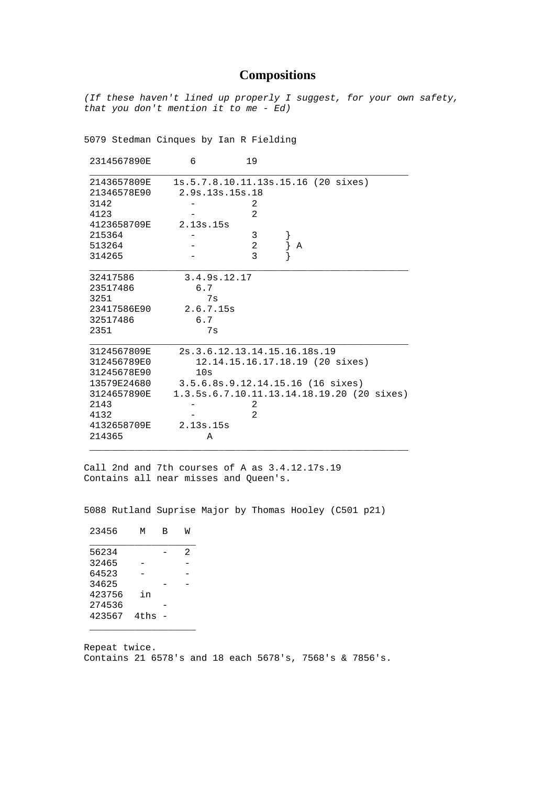# **Compositions**

*(If these haven't lined up properly I suggest, for your own safety, that you don't mention it to me - Ed)*

5079 Stedman Cinques by Ian R Fielding

| 1s.5.7.8.10.11.13s.15.16 (20 sixes)<br>2143657809E<br>21346578E90<br>2.9s.13s.15s.18<br>3142<br>2<br>$\overline{2}$<br>4123<br>4123658709E<br>2.13s.15s<br>3<br>215364<br>$\overline{a}$<br>513264<br>Α<br>$\overline{\mathbf{3}}$<br>314265<br>3.4.9s.12.17<br>32417586<br>6.7<br>23517486<br>7s<br>3251<br>2.6.7.15s<br>23417586E90<br>6.7<br>32517486 |  |
|----------------------------------------------------------------------------------------------------------------------------------------------------------------------------------------------------------------------------------------------------------------------------------------------------------------------------------------------------------|--|
|                                                                                                                                                                                                                                                                                                                                                          |  |
|                                                                                                                                                                                                                                                                                                                                                          |  |
|                                                                                                                                                                                                                                                                                                                                                          |  |
|                                                                                                                                                                                                                                                                                                                                                          |  |
|                                                                                                                                                                                                                                                                                                                                                          |  |
|                                                                                                                                                                                                                                                                                                                                                          |  |
|                                                                                                                                                                                                                                                                                                                                                          |  |
|                                                                                                                                                                                                                                                                                                                                                          |  |
|                                                                                                                                                                                                                                                                                                                                                          |  |
|                                                                                                                                                                                                                                                                                                                                                          |  |
|                                                                                                                                                                                                                                                                                                                                                          |  |
|                                                                                                                                                                                                                                                                                                                                                          |  |
| 2351<br>7s                                                                                                                                                                                                                                                                                                                                               |  |
| 2s. 3. 6. 12. 13. 14. 15. 16. 18s. 19<br>3124567809E                                                                                                                                                                                                                                                                                                     |  |
| 312456789E0<br>12.14.15.16.17.18.19 (20 sixes)                                                                                                                                                                                                                                                                                                           |  |
| 31245678E90<br>10s                                                                                                                                                                                                                                                                                                                                       |  |
| 13579E24680<br>3.5.6.8s.9.12.14.15.16 (16 sixes)                                                                                                                                                                                                                                                                                                         |  |
| 3124657890E<br>1.3.5s.6.7.10.11.13.14.18.19.20 (20 sixes)                                                                                                                                                                                                                                                                                                |  |
| 2143<br>2                                                                                                                                                                                                                                                                                                                                                |  |
| $\overline{2}$<br>4132                                                                                                                                                                                                                                                                                                                                   |  |
| 2.13s.15s<br>4132658709E                                                                                                                                                                                                                                                                                                                                 |  |
| 214365<br>Α                                                                                                                                                                                                                                                                                                                                              |  |

Call 2nd and 7th courses of A as 3.4.12.17s.19 Contains all near misses and Queen's.

5088 Rutland Suprise Major by Thomas Hooley (C501 p21)

| 23456  | М    | в | W |
|--------|------|---|---|
| 56234  |      |   | 2 |
| 32465  |      |   |   |
| 64523  |      |   |   |
| 34625  |      |   |   |
| 423756 | in   |   |   |
| 274536 |      |   |   |
| 423567 | 4ths |   |   |
|        |      |   |   |

Repeat twice. Contains 21 6578's and 18 each 5678's, 7568's & 7856's.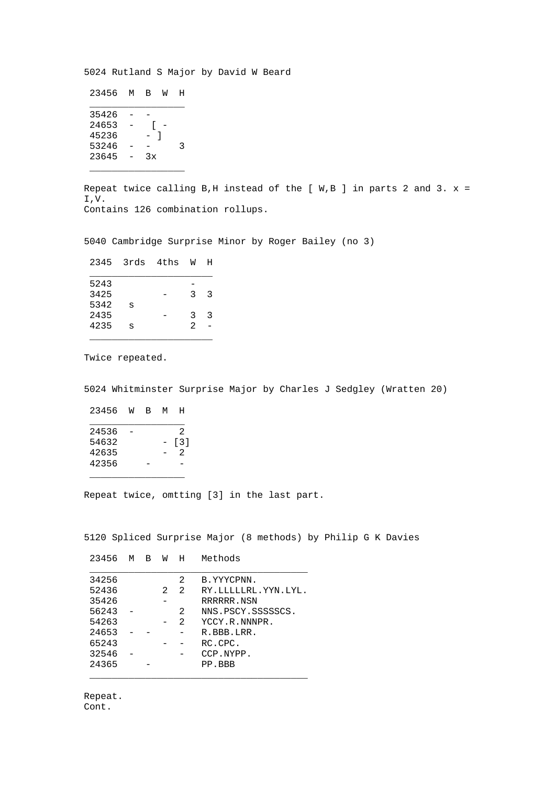5024 Rutland S Major by David W Beard

| 23456 | м | в  | M | H |
|-------|---|----|---|---|
| 35426 |   |    |   |   |
| 24653 |   |    |   |   |
| 45236 |   |    |   |   |
| 53246 |   |    |   | κ |
| 23645 |   | Зx |   |   |
|       |   |    |   |   |

Repeat twice calling B, H instead of the [  $W, B$  ] in parts 2 and 3.  $x =$ I,V. Contains 126 combination rollups.

5040 Cambridge Surprise Minor by Roger Bailey (no 3)

| 2345 | 3rds | 4ths | W              | н |
|------|------|------|----------------|---|
| 5243 |      |      |                |   |
| 3425 |      |      | 3              | っ |
| 5342 | S    |      |                |   |
| 2435 |      |      | 3              | 3 |
| 4235 | S    |      | $\mathfrak{D}$ |   |
|      |      |      |                |   |

Twice repeated.

5024 Whitminster Surprise Major by Charles J Sedgley (Wratten 20)

| 23456 | M | в | м | н                 |
|-------|---|---|---|-------------------|
| 24536 |   |   |   | 2                 |
| 54632 |   |   |   | $\lceil 3 \rceil$ |
| 42635 |   |   |   | 2                 |
| 42356 |   |   |   |                   |
|       |   |   |   |                   |

Repeat twice, omtting [3] in the last part.

5120 Spliced Surprise Major (8 methods) by Philip G K Davies

| 23456 | м | В | W | H              | Methods             |
|-------|---|---|---|----------------|---------------------|
| 34256 |   |   |   | 2              | B.YYYCPNN.          |
| 52436 |   |   | 2 | $\mathfrak{D}$ | RY.LLLLLRL.YYN.LYL. |
| 35426 |   |   |   |                | RRRRRR.NSN          |
| 56243 |   |   |   | 2              | NNS.PSCY.SSSSSSCS.  |
| 54263 |   |   |   | $\mathfrak{D}$ | YCCY.R.NNNPR.       |
| 24653 |   |   |   |                | R.BBB.LRR.          |
| 65243 |   |   |   |                | RC.CPC.             |
| 32546 |   |   |   |                | CCP.NYPP.           |
| 24365 |   |   |   |                | PP.BBB              |
|       |   |   |   |                |                     |

Repeat. Cont.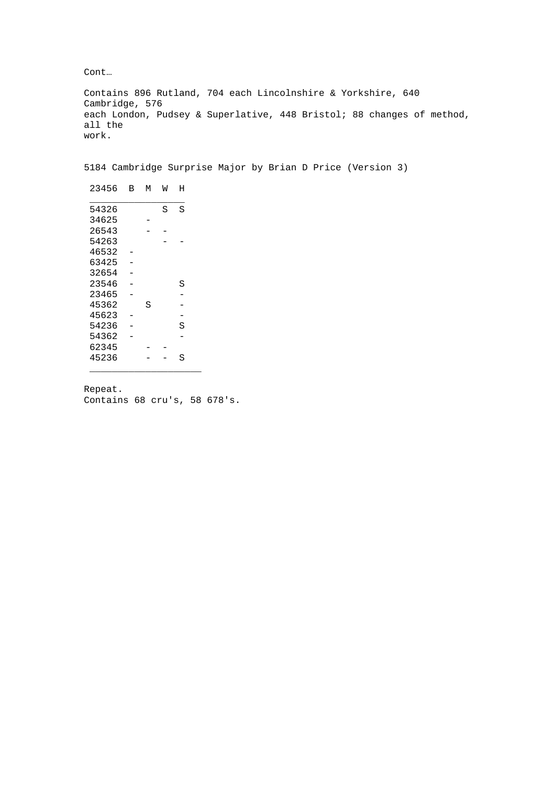Cont…

Contains 896 Rutland, 704 each Lincolnshire & Yorkshire, 640 Cambridge, 576 each London, Pudsey & Superlative, 448 Bristol; 88 changes of method, all the work.

5184 Cambridge Surprise Major by Brian D Price (Version 3)

| 23456 | В | м | W | Η |  |
|-------|---|---|---|---|--|
| 54326 |   |   | S | S |  |
| 34625 |   |   |   |   |  |
| 26543 |   |   |   |   |  |
| 54263 |   |   |   |   |  |
| 46532 |   |   |   |   |  |
| 63425 |   |   |   |   |  |
| 32654 |   |   |   |   |  |
| 23546 |   |   |   | S |  |
| 23465 |   |   |   |   |  |
| 45362 |   | S |   |   |  |
| 45623 |   |   |   |   |  |
| 54236 |   |   |   | S |  |
| 54362 |   |   |   |   |  |
| 62345 |   |   |   |   |  |
| 45236 |   |   |   | S |  |
|       |   |   |   |   |  |

Repeat. Contains 68 cru's, 58 678's.